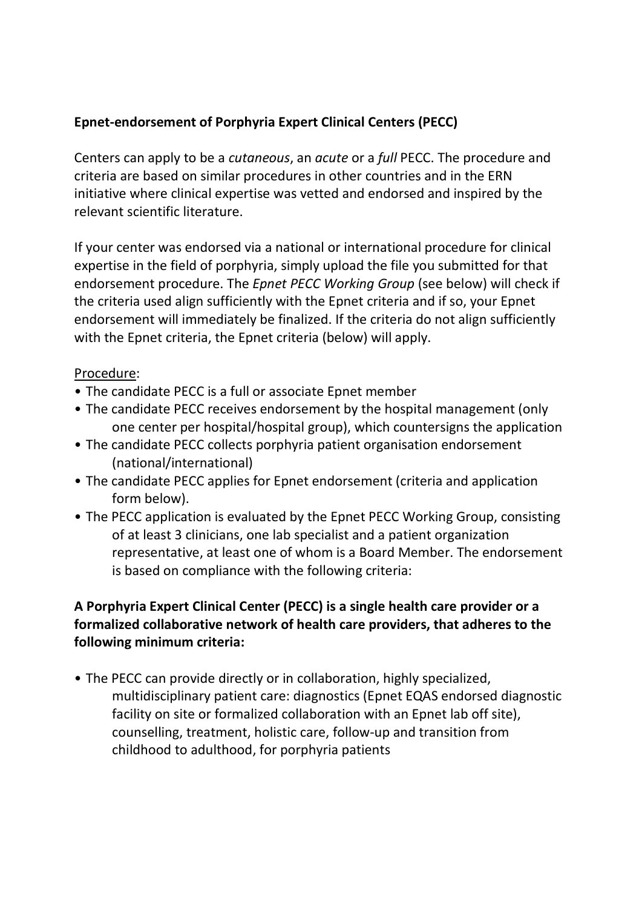## **Epnet-endorsement of Porphyria Expert Clinical Centers (PECC)**

Centers can apply to be a *cutaneous*, an *acute* or a *full* PECC. The procedure and criteria are based on similar procedures in other countries and in the ERN initiative where clinical expertise was vetted and endorsed and inspired by the relevant scientific literature.

If your center was endorsed via a national or international procedure for clinical expertise in the field of porphyria, simply upload the file you submitted for that endorsement procedure. The *Epnet PECC Working Group* (see below) will check if the criteria used align sufficiently with the Epnet criteria and if so, your Epnet endorsement will immediately be finalized. If the criteria do not align sufficiently with the Epnet criteria, the Epnet criteria (below) will apply.

## Procedure:

- The candidate PECC is a full or associate Epnet member
- The candidate PECC receives endorsement by the hospital management (only one center per hospital/hospital group), which countersigns the application
- The candidate PECC collects porphyria patient organisation endorsement (national/international)
- The candidate PECC applies for Epnet endorsement (criteria and application form below).
- The PECC application is evaluated by the Epnet PECC Working Group, consisting of at least 3 clinicians, one lab specialist and a patient organization representative, at least one of whom is a Board Member. The endorsement is based on compliance with the following criteria:

## **A Porphyria Expert Clinical Center (PECC) is a single health care provider or a formalized collaborative network of health care providers, that adheres to the following minimum criteria:**

• The PECC can provide directly or in collaboration, highly specialized, multidisciplinary patient care: diagnostics (Epnet EQAS endorsed diagnostic facility on site or formalized collaboration with an Epnet lab off site), counselling, treatment, holistic care, follow-up and transition from childhood to adulthood, for porphyria patients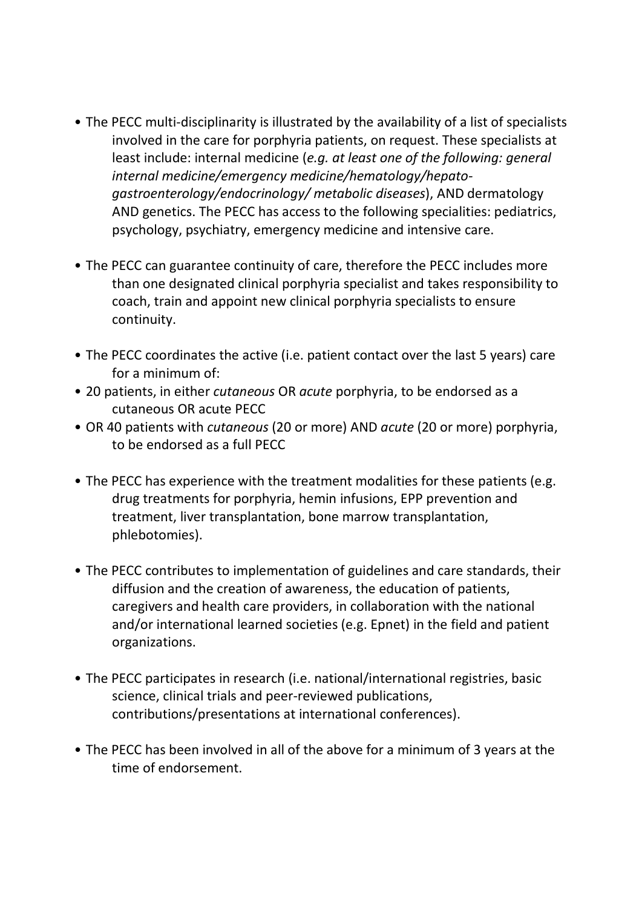- The PECC multi-disciplinarity is illustrated by the availability of a list of specialists involved in the care for porphyria patients, on request. These specialists at least include: internal medicine (*e.g. at least one of the following: general internal medicine/emergency medicine/hematology/hepatogastroenterology/endocrinology/ metabolic diseases*), AND dermatology AND genetics. The PECC has access to the following specialities: pediatrics, psychology, psychiatry, emergency medicine and intensive care.
- The PECC can guarantee continuity of care, therefore the PECC includes more than one designated clinical porphyria specialist and takes responsibility to coach, train and appoint new clinical porphyria specialists to ensure continuity.
- The PECC coordinates the active (i.e. patient contact over the last 5 years) care for a minimum of:
- 20 patients, in either *cutaneous* OR *acute* porphyria, to be endorsed as a cutaneous OR acute PECC
- OR 40 patients with *cutaneous* (20 or more) AND *acute* (20 or more) porphyria, to be endorsed as a full PECC
- The PECC has experience with the treatment modalities for these patients (e.g. drug treatments for porphyria, hemin infusions, EPP prevention and treatment, liver transplantation, bone marrow transplantation, phlebotomies).
- The PECC contributes to implementation of guidelines and care standards, their diffusion and the creation of awareness, the education of patients, caregivers and health care providers, in collaboration with the national and/or international learned societies (e.g. Epnet) in the field and patient organizations.
- The PECC participates in research (i.e. national/international registries, basic science, clinical trials and peer-reviewed publications, contributions/presentations at international conferences).
- The PECC has been involved in all of the above for a minimum of 3 years at the time of endorsement.